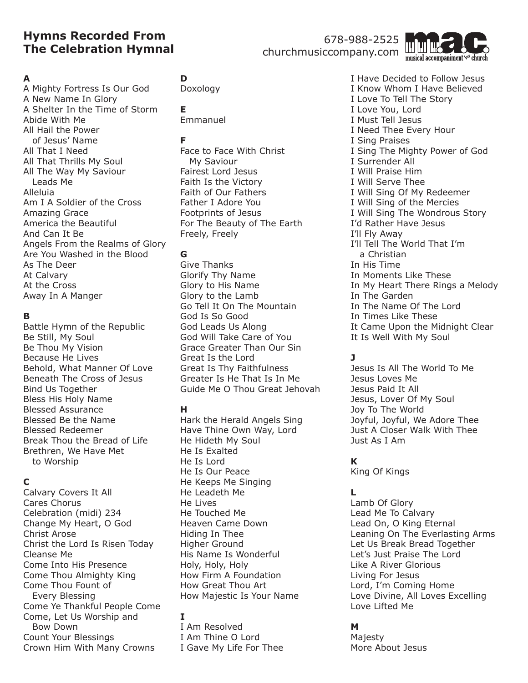# **Hymns Recorded From The Celebration Hymnal**

# 678-988-2525

churchmusiccompany.com



#### **A**

A Mighty Fortress Is Our God A New Name In Glory A Shelter In the Time of Storm Abide With Me All Hail the Power of Jesus' Name All That I Need All That Thrills My Soul All The Way My Saviour Leads Me Alleluia Am I A Soldier of the Cross Amazing Grace America the Beautiful And Can It Be Angels From the Realms of Glory Are You Washed in the Blood As The Deer At Calvary At the Cross Away In A Manger

#### **B**

Battle Hymn of the Republic Be Still, My Soul Be Thou My Vision Because He Lives Behold, What Manner Of Love Beneath The Cross of Jesus Bind Us Together Bless His Holy Name Blessed Assurance Blessed Be the Name Blessed Redeemer Break Thou the Bread of Life Brethren, We Have Met to Worship

### **C**

Calvary Covers It All Cares Chorus Celebration (midi) 234 Change My Heart, O God Christ Arose Christ the Lord Is Risen Today Cleanse Me Come Into His Presence Come Thou Almighty King Come Thou Fount of Every Blessing Come Ye Thankful People Come Come, Let Us Worship and Bow Down Count Your Blessings Crown Him With Many Crowns

# **D**

Doxology

#### **E** Emmanuel

## **F**

Face to Face With Christ My Saviour Fairest Lord Jesus Faith Is the Victory Faith of Our Fathers Father I Adore You Footprints of Jesus For The Beauty of The Earth Freely, Freely

# **G**

Give Thanks Glorify Thy Name Glory to His Name Glory to the Lamb Go Tell It On The Mountain God Is So Good God Leads Us Along God Will Take Care of You Grace Greater Than Our Sin Great Is the Lord Great Is Thy Faithfulness Greater Is He That Is In Me Guide Me O Thou Great Jehovah

### **H**

Hark the Herald Angels Sing Have Thine Own Way, Lord He Hideth My Soul He Is Exalted He Is Lord He Is Our Peace He Keeps Me Singing He Leadeth Me He Lives He Touched Me Heaven Came Down Hiding In Thee Higher Ground His Name Is Wonderful Holy, Holy, Holy How Firm A Foundation How Great Thou Art How Majestic Is Your Name

# **I**

I Am Resolved I Am Thine O Lord I Gave My Life For Thee I Have Decided to Follow Jesus I Know Whom I Have Believed I Love To Tell The Story I Love You, Lord I Must Tell Jesus I Need Thee Every Hour I Sing Praises I Sing The Mighty Power of God I Surrender All I Will Praise Him I Will Serve Thee I Will Sing Of My Redeemer I Will Sing of the Mercies I Will Sing The Wondrous Story I'd Rather Have Jesus I'll Fly Away I'll Tell The World That I'm a Christian In His Time In Moments Like These In My Heart There Rings a Melody In The Garden In The Name Of The Lord In Times Like These It Came Upon the Midnight Clear It Is Well With My Soul

# **J**

Jesus Is All The World To Me Jesus Loves Me Jesus Paid It All Jesus, Lover Of My Soul Joy To The World Joyful, Joyful, We Adore Thee Just A Closer Walk With Thee Just As I Am

# **K**

King Of Kings

# **L**

Lamb Of Glory Lead Me To Calvary Lead On, O King Eternal Leaning On The Everlasting Arms Let Us Break Bread Together Let's Just Praise The Lord Like A River Glorious Living For Jesus Lord, I'm Coming Home Love Divine, All Loves Excelling Love Lifted Me

### **M**

Majesty More About Jesus